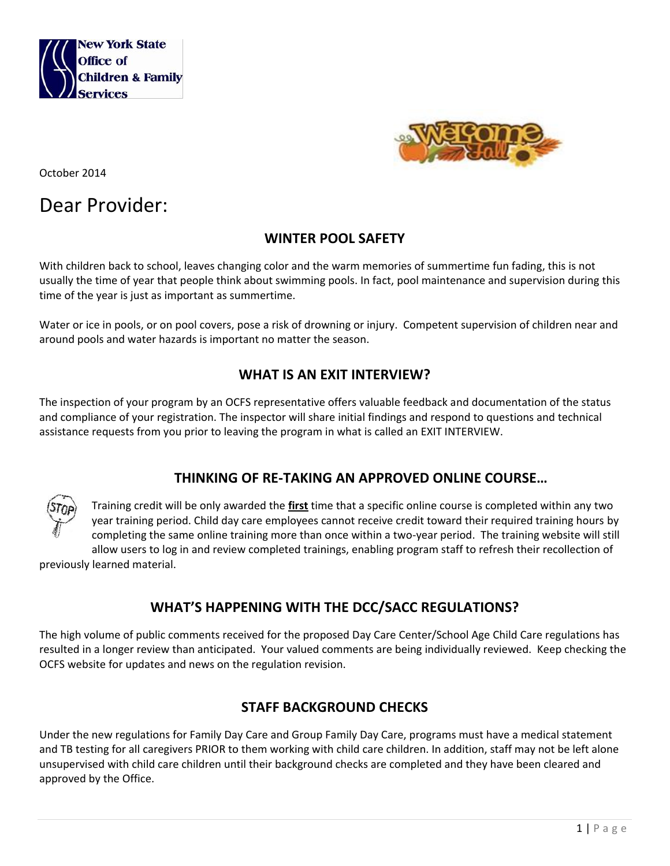



October 2014

# Dear Provider:

## **WINTER POOL SAFETY**

With children back to school, leaves changing color and the warm memories of summertime fun fading, this is not usually the time of year that people think about swimming pools. In fact, pool maintenance and supervision during this time of the year is just as important as summertime.

Water or ice in pools, or on pool covers, pose a risk of drowning or injury. Competent supervision of children near and around pools and water hazards is important no matter the season.

## **WHAT IS AN EXIT INTERVIEW?**

The inspection of your program by an OCFS representative offers valuable feedback and documentation of the status and compliance of your registration. The inspector will share initial findings and respond to questions and technical assistance requests from you prior to leaving the program in what is called an EXIT INTERVIEW.

#### **THINKING OF RE-TAKING AN APPROVED ONLINE COURSE…**



Training credit will be only awarded the **first** time that a specific online course is completed within any two year training period. Child day care employees cannot receive credit toward their required training hours by completing the same online training more than once within a two-year period. The training website will still allow users to log in and review completed trainings, enabling program staff to refresh their recollection of

previously learned material.

## **WHAT'S HAPPENING WITH THE DCC/SACC REGULATIONS?**

The high volume of public comments received for the proposed Day Care Center/School Age Child Care regulations has resulted in a longer review than anticipated. Your valued comments are being individually reviewed. Keep checking the OCFS website for updates and news on the regulation revision.

## **STAFF BACKGROUND CHECKS**

Under the new regulations for Family Day Care and Group Family Day Care, programs must have a medical statement and TB testing for all caregivers PRIOR to them working with child care children. In addition, staff may not be left alone unsupervised with child care children until their background checks are completed and they have been cleared and approved by the Office.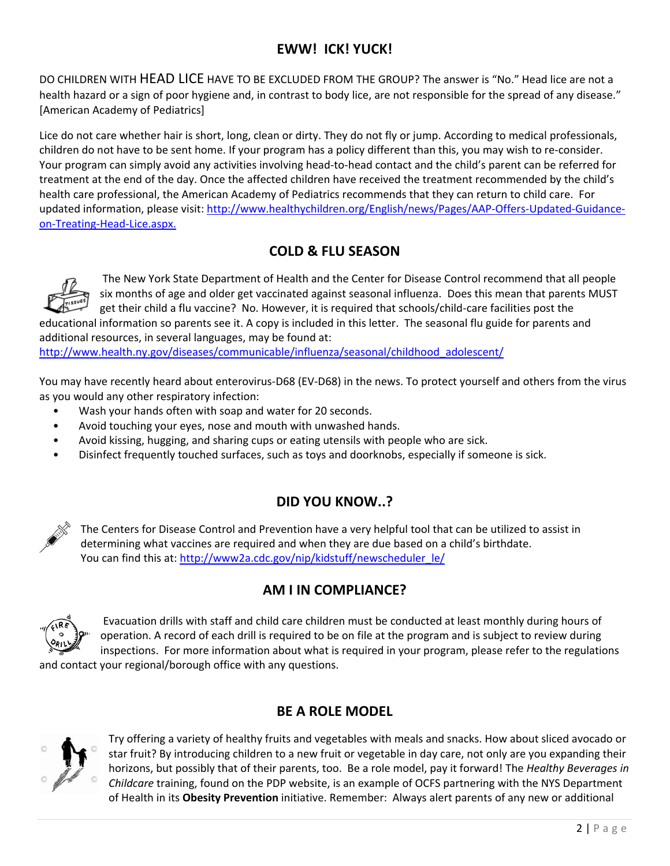## **EWW! ICK! YUCK!**

DO CHILDREN WITH HEAD LICE HAVE TO BE EXCLUDED FROM THE GROUP? The answer is "No." Head lice are not a health hazard or a sign of poor hygiene and, in contrast to body lice, are not responsible for the spread of any disease." [American Academy of Pediatrics]

Lice do not care whether hair is short, long, clean or dirty. They do not fly or jump. According to medical professionals, children do not have to be sent home. If your program has a policy different than this, you may wish to re-consider. Your program can simply avoid any activities involving head-to-head contact and the child's parent can be referred for treatment at the end of the day. Once the affected children have received the treatment recommended by the child's health care professional, the American Academy of Pediatrics recommends that they can return to child care. For updated information, please visit: [http://www.healthychildren.org/English/news/Pages/AAP-Offers-Updated-Guidance](http://www.healthychildren.org/English/news/Pages/AAP-Offers-Updated-Guidance-on-Treating-Head-ice.aspx)[on-Treating-Head-Lice.aspx.](http://www.healthychildren.org/English/news/Pages/AAP-Offers-Updated-Guidance-on-Treating-Head-ice.aspx)

## **COLD & FLU SEASON**



The New York State Department of Health and the Center for Disease Control recommend that all people six months of age and older get vaccinated against seasonal influenza. Does this mean that parents MUST get their child a flu vaccine? No. However, it is required that schools/child-care facilities post the

educational information so parents see it. A copy is included in this letter. The seasonal flu guide for parents and additional resources, in several languages, may be found at:

[http://www.health.ny.gov/diseases/communicable/influenza/seasonal/childhood\\_adolescent/](http://www.health.ny.gov/diseases/communicable/influenza/seasonal/childhood_adolescent/)

You may have recently heard about enterovirus-D68 (EV-D68) in the news. To protect yourself and others from the virus as you would any other respiratory infection:

- Wash your hands often with soap and water for 20 seconds.
- Avoid touching your eyes, nose and mouth with unwashed hands.
- Avoid kissing, hugging, and sharing cups or eating utensils with people who are sick.
- Disinfect frequently touched surfaces, such as toys and doorknobs, especially if someone is sick.

## **DID YOU KNOW..?**

The Centers for Disease Control and Prevention have a very helpful tool that can be utilized to assist in determining what vaccines are required and when they are due based on a child's birthdate. You can find this at: [http://www2a.cdc.gov/nip/kidstuff/newscheduler\\_le/](http://www2a.cdc.gov/nip/kidstuff/newscheduler_le/)

## **AM I IN COMPLIANCE?**



Evacuation drills with staff and child care children must be conducted at least monthly during hours of operation. A record of each drill is required to be on file at the program and is subject to review during inspections. For more information about what is required in your program, please refer to the regulations

and contact your regional/borough office with any questions.

## **BE A ROLE MODEL**



Try offering a variety of healthy fruits and vegetables with meals and snacks. How about sliced avocado or star fruit? By introducing children to a new fruit or vegetable in day care, not only are you expanding their horizons, but possibly that of their parents, too. Be a role model, pay it forward! The *Healthy Beverages in Childcare* training, found on the PDP website, is an example of OCFS partnering with the NYS Department of Health in its **Obesity Prevention** initiative. Remember: Always alert parents of any new or additional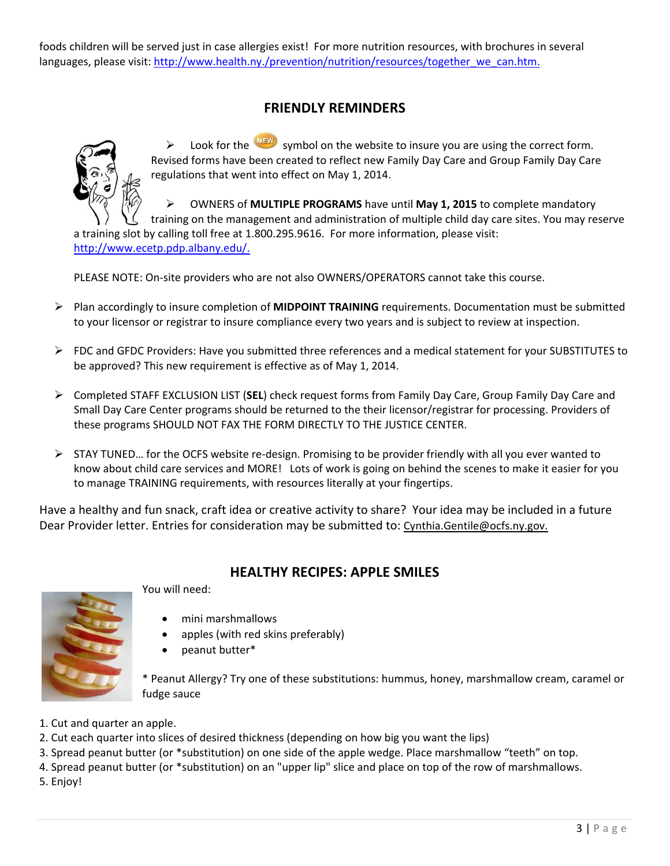foods children will be served just in case allergies exist! For more nutrition resources, with brochures in several languages, please visit: [http://www.health.ny./prevention/nutrition/resources/together\\_we\\_can.htm.](http://www.health.ny./prevention/nutrition/resources/together_we_can.htm)

## **FRIENDLY REMINDERS**



 $\triangleright$  Look for the symbol on the website to insure you are using the correct form. Revised forms have been created to reflect new Family Day Care and Group Family Day Care regulations that went into effect on May 1, 2014.

 OWNERS of **MULTIPLE PROGRAMS** have until **May 1, 2015** to complete mandatory training on the management and administration of multiple child day care sites. You may reserve a training slot by calling toll free at 1.800.295.9616. For more information, please visit: [http://www.ecetp.pdp.albany.edu/.](http://www.ecetp.pdp.albany.edu/)

PLEASE NOTE: On-site providers who are not also OWNERS/OPERATORS cannot take this course.

- Plan accordingly to insure completion of **MIDPOINT TRAINING** requirements. Documentation must be submitted to your licensor or registrar to insure compliance every two years and is subject to review at inspection.
- $\triangleright$  FDC and GFDC Providers: Have you submitted three references and a medical statement for your SUBSTITUTES to be approved? This new requirement is effective as of May 1, 2014.
- Completed STAFF EXCLUSION LIST (**SEL**) check request forms from Family Day Care, Group Family Day Care and Small Day Care Center programs should be returned to the their licensor/registrar for processing. Providers of these programs SHOULD NOT FAX THE FORM DIRECTLY TO THE JUSTICE CENTER.
- $\triangleright$  STAY TUNED... for the OCFS website re-design. Promising to be provider friendly with all you ever wanted to know about child care services and MORE! Lots of work is going on behind the scenes to make it easier for you to manage TRAINING requirements, with resources literally at your fingertips.

Have a healthy and fun snack, craft idea or creative activity to share? Your idea may be included in a future Dear Provider letter. Entries for consideration may be submitted to: Cynthia.Gentile@ocfs.ny.gov.



## **HEALTHY RECIPES: APPLE SMILES**

You will need:

- mini marshmallows
- apples (with red skins preferably)
- peanut butter\*

\* Peanut Allergy? Try one of these substitutions: hummus, honey, marshmallow cream, caramel or fudge sauce

- 1. Cut and quarter an apple.
- 2. Cut each quarter into slices of desired thickness (depending on how big you want the lips)
- 3. Spread peanut butter (or \*substitution) on one side of the apple wedge. Place marshmallow "teeth" on top.
- 4. Spread peanut butter (or \*substitution) on an "upper lip" slice and place on top of the row of marshmallows.
- 5. Enjoy!